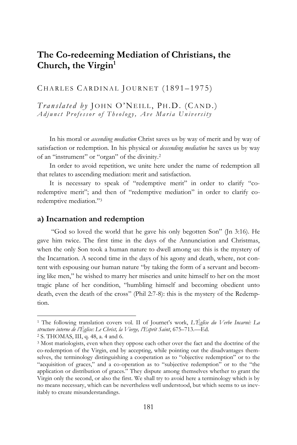# **The Co-redeeming Mediation of Christians, the Church, the Virgin<sup>1</sup>**

CHARLES CARDINAL JOURNET (1891-1975)

*Translated by* JOHN O'NEILL, PH.D. (CAND.) *Adjunct Professor of Theology, Ave Maria University* 

In his moral or *ascending mediation* Christ saves us by way of merit and by way of satisfaction or redemption. In his physical or *descending mediation* he saves us by way of an "instrument" or "organ" of the divinity.<sup>2</sup>

In order to avoid repetition, we unite here under the name of redemption all that relates to ascending mediation: merit and satisfaction.

It is necessary to speak of "redemptive merit" in order to clarify "coredemptive merit"; and then of "redemptive mediation" in order to clarify coredemptive mediation." 3

#### **a) Incarnation and redemption**

"God so loved the world that he gave his only begotten Son" (Jn 3:16). He gave him twice. The first time in the days of the Annunciation and Christmas, when the only Son took a human nature to dwell among us: this is the mystery of the Incarnation. A second time in the days of his agony and death, where, not content with espousing our human nature "by taking the form of a servant and becoming like men," he wished to marry her miseries and unite himself to her on the most tragic plane of her condition, "humbling himself and becoming obedient unto death, even the death of the cross" (Phil 2:7-8): this is the mystery of the Redemption.

<sup>1</sup> The following translation covers vol. II of Journet's work, *L'Église du Verbe Incarné: La structure interne de l'Église: Le Christ, la Vierge, l'Esprit Saint*, 675–713.—Ed.

<sup>2</sup> S. THOMAS, III, q. 48, a. 4 and 6.

<sup>3</sup> Most mariologists, even when they oppose each other over the fact and the doctrine of the co-redemption of the Virgin, end by accepting, while pointing out the disadvantages themselves, the terminology distinguishing a cooperation as to "objective redemption" or to the "acquisition of graces," and a co-operation as to "subjective redemption" or to the "the application or distribution of graces." They dispute among themselves whether to grant the Virgin only the second, or also the first. We shall try to avoid here a terminology which is by no means necessary, which can be nevertheless well understood, but which seems to us inevitably to create misunderstandings.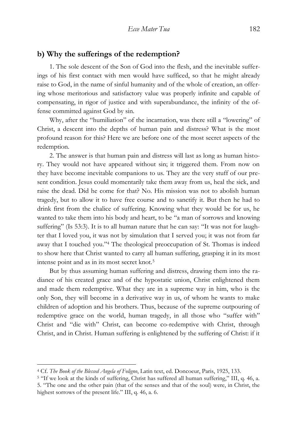### **b) Why the sufferings of the redemption?**

1. The sole descent of the Son of God into the flesh, and the inevitable sufferings of his first contact with men would have sufficed, so that he might already raise to God, in the name of sinful humanity and of the whole of creation, an offering whose meritorious and satisfactory value was properly infinite and capable of compensating, in rigor of justice and with superabundance, the infinity of the offense committed against God by sin.

Why, after the "humiliation" of the incarnation, was there still a "lowering" of Christ, a descent into the depths of human pain and distress? What is the most profound reason for this? Here we are before one of the most secret aspects of the redemption.

2. The answer is that human pain and distress will last as long as human history. They would not have appeared without sin; it triggered them. From now on they have become inevitable companions to us. They are the very stuff of our present condition. Jesus could momentarily take them away from us, heal the sick, and raise the dead. Did he come for that? No. His mission was not to abolish human tragedy, but to allow it to have free course and to sanctify it. But then he had to drink first from the chalice of suffering. Knowing what they would be for us, he wanted to take them into his body and heart, to be "a man of sorrows and knowing suffering" (Is 53:3). It is to all human nature that he can say: "It was not for laughter that I loved you, it was not by simulation that I served you; it was not from far away that I touched you." <sup>4</sup> The theological preoccupation of St. Thomas is indeed to show here that Christ wanted to carry all human suffering, grasping it in its most intense point and as in its most secret knot.<sup>5</sup>

But by thus assuming human suffering and distress, drawing them into the radiance of his created grace and of the hypostatic union, Christ enlightened them and made them redemptive. What they are in a supreme way in him, who is the only Son, they will become in a derivative way in us, of whom he wants to make children of adoption and his brothers. Thus, because of the supreme outpouring of redemptive grace on the world, human tragedy, in all those who "suffer with" Christ and "die with" Christ, can become co-redemptive with Christ, through Christ, and in Christ. Human suffering is enlightened by the suffering of Christ: if it

<sup>4</sup> Cf. *The Book of the Blessed Angela of Foligno*, Latin text, ed. Doncoeur, Paris, 1925, 133.

<sup>5</sup> "If we look at the kinds of suffering, Christ has suffered all human suffering," III, q. 46, a. 5. "The one and the other pain (that of the senses and that of the soul) were, in Christ, the highest sorrows of the present life." III, q. 46, a. 6.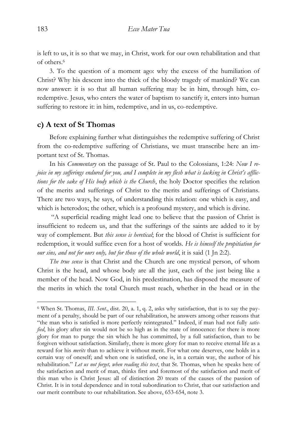is left to us, it is so that we may, in Christ, work for our own rehabilitation and that of others.<sup>6</sup>

3. To the question of a moment ago: why the excess of the humiliation of Christ? Why his descent into the thick of the bloody tragedy of mankind? We can now answer: it is so that all human suffering may be in him, through him, coredemptive. Jesus, who enters the water of baptism to sanctify it, enters into human suffering to restore it: in him, redemptive, and in us, co-redemptive.

# **c) A text of St Thomas**

Before explaining further what distinguishes the redemptive suffering of Christ from the co-redemptive suffering of Christians, we must transcribe here an important text of St. Thomas.

In his *Commentary* on the passage of St. Paul to the Colossians, 1:24: *Now I rejoice in my sufferings endured for you, and I complete in my flesh what is lacking in Christ's afflictions for the sake of His body which is the Church*, the holy Doctor specifies the relation of the merits and sufferings of Christ to the merits and sufferings of Christians. There are two ways, he says, of understanding this relation: one which is easy, and which is heterodox; the other, which is a profound mystery, and which is divine.

"A superficial reading might lead one to believe that the passion of Christ is insufficient to redeem us, and that the sufferings of the saints are added to it by way of complement. But *this sense is heretical*; for the blood of Christ is sufficient for redemption, it would suffice even for a host of worlds. *He is himself the propitiation for our sins, and not for ours only, but for those of the whole world*, it is said (1 Jn 2:2).

*The true sense* is that Christ and the Church are one mystical person, of whom Christ is the head, and whose body are all the just, each of the just being like a member of the head. Now God, in his predestination, has disposed the measure of the merits in which the total Church must reach, whether in the head or in the

<sup>6</sup> When St. Thomas, *III. Sent*., dist. 20, a. 1, q. 2, asks why satisfaction, that is to say the payment of a penalty, should be part of our rehabilitation, he answers among other reasons that "the man who is satisfied is more perfectly reintegrated." Indeed, if man had not fully *satisfied*, his glory after sin would not be so high as in the state of innocence: for there is more glory for man to purge the sin which he has committed, by a full satisfaction, than to be forgiven without satisfaction. Similarly, there is more glory for man to receive eternal life as a reward for his *merits* than to achieve it without merit. For what one deserves, one holds in a certain way of oneself; and when one is satisfied, one is, in a certain way, the author of his rehabilitation." *Let us not forget, when reading this text*, that St. Thomas, when he speaks here of the satisfaction and merit of man, thinks first and foremost of the satisfaction and merit of this man who is Christ Jesus: all of distinction 20 treats of the causes of the passion of Christ. It is in total dependence and in total subordination to Christ, that our satisfaction and our merit contribute to our rehabilitation. See above, 653-654, note 3.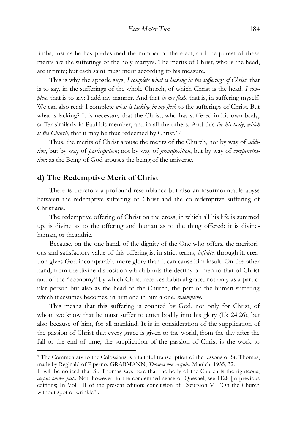limbs, just as he has predestined the number of the elect, and the purest of these merits are the sufferings of the holy martyrs. The merits of Christ, who is the head, are infinite; but each saint must merit according to his measure.

This is why the apostle says, *I complete what is lacking in the sufferings of Christ*, that is to say, in the sufferings of the whole Church, of which Christ is the head. *I complete*, that is to say: I add my manner. And that *in my flesh*, that is, in suffering myself. We can also read: I complete *what is lacking in my flesh* to the sufferings of Christ. But what is lacking? It is necessary that the Christ, who has suffered in his own body, suffer similarly in Paul his member, and in all the others. And this *for his body*, *which is the Church*, that it may be thus redeemed by Christ." 7

Thus, the merits of Christ arouse the merits of the Church, not by way of *addition*, but by way of *participation*; not by way of *juxtaposition*, but by way of *compenetration*: as the Being of God arouses the being of the universe.

# **d) The Redemptive Merit of Christ**

 $\overline{a}$ 

There is therefore a profound resemblance but also an insurmountable abyss between the redemptive suffering of Christ and the co-redemptive suffering of Christians.

The redemptive offering of Christ on the cross, in which all his life is summed up, is divine as to the offering and human as to the thing offered: it is divinehuman, or theandric.

Because, on the one hand, of the dignity of the One who offers, the meritorious and satisfactory value of this offering is, in strict terms, *infinite*: through it, creation gives God incomparably more glory than it can cause him insult. On the other hand, from the divine disposition which binds the destiny of men to that of Christ and of the "economy" by which Christ receives habitual grace, not only as a particular person but also as the head of the Church, the part of the human suffering which it assumes becomes, in him and in him alone, *redemptive*.

This means that this suffering is counted by God, not only for Christ, of whom we know that he must suffer to enter bodily into his glory (Lk 24:26), but also because of him, for all mankind. It is in consideration of the supplication of the passion of Christ that every grace is given to the world, from the day after the fall to the end of time; the supplication of the passion of Christ is the work to

<sup>7</sup> The Commentary to the Colossians is a faithful transcription of the lessons of St. Thomas, made by Reginald of Piperno. GRABMANN, *Thomas von Aquin*, Munich, 1935, 32.

It will be noticed that St. Thomas says here that the body of the Church is the righteous, *corpus omnes justi*. Not, however, in the condemned sense of Quesnel, see 1128 [in previous editions; In Vol. III of the present edition: conclusion of Excursion VI "On the Church without spot or wrinkle"].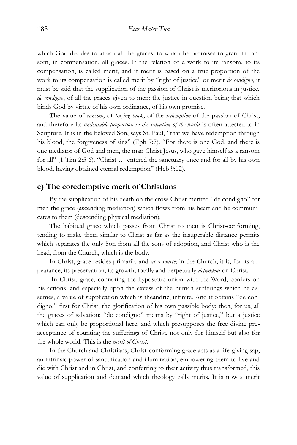which God decides to attach all the graces, to which he promises to grant in ransom, in compensation, all graces. If the relation of a work to its ransom, to its compensation, is called merit, and if merit is based on a true proportion of the work to its compensation is called merit by "right of justice" or merit *de condigno*, it must be said that the supplication of the passion of Christ is meritorious in justice, *de condigno*, of all the graces given to men: the justice in question being that which binds God by virtue of his own ordinance, of his own promise.

The value of *ransom*, of *buying back*, of the *redemption* of the passion of Christ, and therefore its *undeniable proportion to the salvation of the world* is often attested to in Scripture. It is in the beloved Son, says St. Paul, "that we have redemption through his blood, the forgiveness of sins" (Eph 7:7). "For there is one God, and there is one mediator of God and men, the man Christ Jesus, who gave himself as a ransom for all" (1 Tim 2:5-6). "Christ … entered the sanctuary once and for all by his own blood, having obtained eternal redemption" (Heb 9:12).

### **e) The coredemptive merit of Christians**

By the supplication of his death on the cross Christ merited "de condigno" for men the grace (ascending mediation) which flows from his heart and he communicates to them (descending physical mediation).

The habitual grace which passes from Christ to men is Christ-conforming, tending to make them similar to Christ as far as the insuperable distance permits which separates the only Son from all the sons of adoption, and Christ who is the head, from the Church, which is the body.

In Christ, grace resides primarily and *as a source*; in the Church, it is, for its appearance, its preservation, its growth, totally and perpetually *dependent* on Christ.

In Christ, grace, connoting the hypostatic union with the Word, confers on his actions, and especially upon the excess of the human sufferings which he assumes, a value of supplication which is theandric, infinite. And it obtains "de condigno," first for Christ, the glorification of his own passible body; then, for us, all the graces of salvation: "de condigno" means by "right of justice," but a justice which can only be proportional here, and which presupposes the free divine preacceptance of counting the sufferings of Christ, not only for himself but also for the whole world. This is the *merit of Christ*.

In the Church and Christians, Christ-conforming grace acts as a life-giving sap, an intrinsic power of sanctification and illumination, empowering them to live and die with Christ and in Christ, and conferring to their activity thus transformed, this value of supplication and demand which theology calls merits. It is now a merit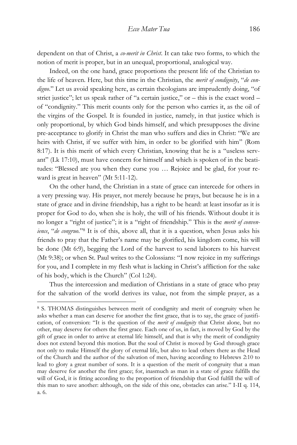dependent on that of Christ, a *co-merit in Christ*. It can take two forms, to which the notion of merit is proper, but in an unequal, proportional, analogical way.

Indeed, on the one hand, grace proportions the present life of the Christian to the life of heaven. Here, but this time in the Christian, the *merit of condignity*, "*de condigno*." Let us avoid speaking here, as certain theologians are imprudently doing, "of strict justice"; let us speak rather of "a certain justice," or  $-$  this is the exact word  $$ of "condignity." This merit counts only for the person who carries it, as the oil of the virgins of the Gospel. It is founded in justice, namely, in that justice which is only proportional, by which God binds himself, and which presupposes the divine pre-acceptance to glorify in Christ the man who suffers and dies in Christ: "We are heirs with Christ, if we suffer with him, in order to be glorified with him" (Rom 8:17). It is this merit of which every Christian, knowing that he is a "useless servant" (Lk 17:10), must have concern for himself and which is spoken of in the beatitudes: "Blessed are you when they curse you … Rejoice and be glad, for your reward is great in heaven" (Mt 5:11-12).

On the other hand, the Christian in a state of grace can intercede for others in a very pressing way. His prayer, not merely because he prays, but because he is in a state of grace and in divine friendship, has a right to be heard: at least insofar as it is proper for God to do, when she is holy, the will of his friends. Without doubt it is no longer a "right of justice"; it is a "right of friendship." This is the *merit of convenience*, "*de congruo*." <sup>8</sup> It is of this, above all, that it is a question, when Jesus asks his friends to pray that the Father's name may be glorified, his kingdom come, his will be done (Mt 6:9), begging the Lord of the harvest to send laborers to his harvest (Mt 9:38); or when St. Paul writes to the Colossians: "I now rejoice in my sufferings for you, and I complete in my flesh what is lacking in Christ's affliction for the sake of his body, which is the Church" (Col 1:24).

Thus the intercession and mediation of Christians in a state of grace who pray for the salvation of the world derives its value, not from the simple prayer, as a

<sup>8</sup> S. THOMAS distinguishes between merit of condignity and merit of congruity when he asks whether a man can deserve for another the first grace, that is to say, the grace of justification, of conversion: "It is the question of the *merit of condignity* that Christ alone, but no other, may deserve for others the first grace. Each one of us, in fact, is moved by God by the gift of grace in order to arrive at eternal life himself, and that is why the merit of condignity does not extend beyond this motion. But the soul of Christ is moved by God through grace not only to make Himself the glory of eternal life, but also to lead others there as the Head of the Church and the author of the salvation of men, having according to Hebrews 2:10 to lead to glory a great number of sons. It is a question of the merit of congruity that a man may deserve for another the first grace; for, inasmuch as man in a state of grace fulfills the will of God, it is fitting according to the proportion of friendship that God fulfill the will of this man to save another: although, on the side of this one, obstacles can arise." I-II q. 114, a. 6.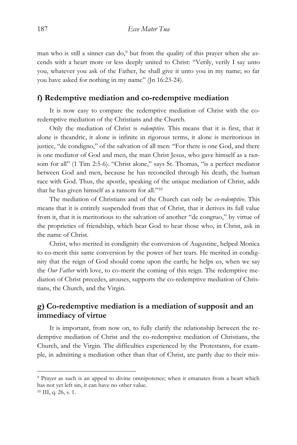man who is still a sinner can do, $9$  but from the quality of this prayer when she ascends with a heart more or less deeply united to Christ: "Verily, verily I say unto you, whatever you ask of the Father, he shall give it unto you in my name; so far you have asked for nothing in my name" (Jn 16:23-24).

### **f) Redemptive mediation and co-redemptive mediation**

It is now easy to compare the redemptive mediation of Christ with the coredemptive mediation of the Christians and the Church.

Only the mediation of Christ is *redemptive*. This means that it is first, that it alone is theandric, it alone is infinite in rigorous terms, it alone is meritorious in justice, "de condigno," of the salvation of all men: "For there is one God, and there is one mediator of God and men, the man Christ Jesus, who gave himself as a ransom for all" (1 Tim 2:5-6). "Christ alone," says St. Thomas, "is a perfect mediator between God and men, because he has reconciled through his death, the human race with God. Thus, the apostle, speaking of the unique mediation of Christ, adds that he has given himself as a ransom for all."<sup>10</sup>

The mediation of Christians and of the Church can only be *co-redemptive*. This means that it is entirely suspended from that of Christ, that it derives its full value from it, that it is meritorious to the salvation of another "de congruo," by virtue of the proprieties of friendship, which bear God to hear those who, in Christ, ask in the name of Christ.

Christ, who merited in condignity the conversion of Augustine, helped Monica to co-merit this same conversion by the power of her tears. He merited in condignity that the reign of God should come upon the earth; he helps us, when we say the *Our Father* with love, to co-merit the coming of this reign. The redemptive mediation of Christ precedes, arouses, supports the co-redemptive mediation of Christians, the Church, and the Virgin.

# **g) Co-redemptive mediation is a mediation of supposit and an immediacy of virtue**

It is important, from now on, to fully clarify the relationship between the redemptive mediation of Christ and the co-redemptive mediation of Christians, the Church, and the Virgin. The difficulties experienced by the Protestants, for example, in admitting a mediation other than that of Christ, are partly due to their mis-

<sup>9</sup> Prayer as such is an appeal to divine omnipotence; when it emanates from a heart which has not yet left sin, it can have no other value.

 $10$  III, q. 26, s. 1.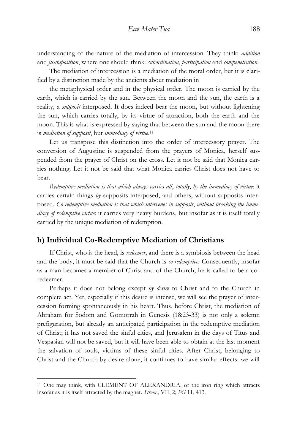understanding of the nature of the mediation of intercession. They think: *addition* and *juxtaposition*, where one should think: *subordination*, *participation* and *compenetration*.

The mediation of intercession is a mediation of the moral order, but it is clarified by a distinction made by the ancients about mediation in

the metaphysical order and in the physical order. The moon is carried by the earth, which is carried by the sun. Between the moon and the sun, the earth is a reality, a *supposit* interposed. It does indeed bear the moon, but without lightening the sun, which carries totally, by its virtue of attraction, both the earth and the moon. This is what is expressed by saying that between the sun and the moon there is *mediation of supposit*, but *immediacy of virtue*. 11

Let us transpose this distinction into the order of intercessory prayer. The conversion of Augustine is suspended from the prayers of Monica, herself suspended from the prayer of Christ on the cross. Let it not be said that Monica carries nothing. Let it not be said that what Monica carries Christ does not have to bear.

*Redemptive mediation is that which always carries all*, *totally*, *by the immediacy of virtue*: it carries certain things *by* supposits interposed, and others, without supposits interposed. *Co-redemptive mediation is that which intervenes in supposit*, *without breaking the immediacy of redemptive virtue*: it carries very heavy burdens, but insofar as it is itself totally carried by the unique mediation of redemption.

### **h) Individual Co-Redemptive Mediation of Christians**

If Christ, who is the head, is *redeemer*, and there is a symbiosis between the head and the body, it must be said that the Church is *co-redemptive*. Consequently, insofar as a man becomes a member of Christ and of the Church, he is called to be a coredeemer.

Perhaps it does not belong except *by desire* to Christ and to the Church in complete act. Yet, especially if this desire is intense, we will see the prayer of intercession forming spontaneously in his heart. Thus, before Christ, the mediation of Abraham for Sodom and Gomorrah in Genesis (18:23-33) is not only a solemn prefiguration, but already an anticipated participation in the redemptive mediation of Christ; it has not saved the sinful cities, and Jerusalem in the days of Titus and Vespasian will not be saved, but it will have been able to obtain at the last moment the salvation of souls, victims of these sinful cities. After Christ, belonging to Christ and the Church by desire alone, it continues to have similar effects: we will

<sup>11</sup> One may think, with CLEMENT OF ALEXANDRIA, of the iron ring which attracts insofar as it is itself attracted by the magnet. *Strom*., VII, 2; *PG* 11, 413.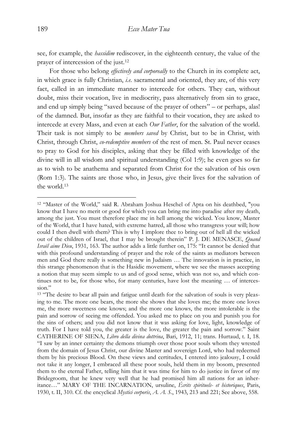see, for example, the *hassidim* rediscover, in the eighteenth century, the value of the prayer of intercession of the just.<sup>12</sup>

For those who belong *effectively and corporeally* to the Church in its complete act, in which grace is fully Christian, *i.e.* sacramental and oriented, they are, of this very fact, called in an immediate manner to intercede for others. They can, without doubt, miss their vocation, live in mediocrity, pass alternatively from sin to grace, and end up simply being "saved because of the prayer of others" – or perhaps, alas! of the damned. But, insofar as they are faithful to their vocation, they are asked to intercede at every Mass, and even at each *Our Father*, for the salvation of the world. Their task is not simply to be *members saved* by Christ, but to be in Christ, with Christ, through Christ, *co-redemptive members* of the rest of men. St. Paul never ceases to pray to God for his disciples, asking that they be filled with knowledge of the divine will in all wisdom and spiritual understanding (Col 1:9); he even goes so far as to wish to be anathema and separated from Christ for the salvation of his own (Rom 1:3). The saints are those who, in Jesus, give their lives for the salvation of the world.<sup>13</sup>

<sup>12</sup> "Master of the World," said R. Abraham Joshua Heschel of Apta on his deathbed, "you know that I have no merit or good for which you can bring me into paradise after my death, among the just. You must therefore place me in hell among the wicked. You know, Master of the World, that I have hated, with extreme hatred, all those who transgress your will; how could I then dwell with them? This is why I implore thee to bring out of hell all the wicked out of the children of Israel, that I may be brought therein" P. J. DE MENASCE, *Quand Israël aime Dieu*, 1931, 163. The author adds a little further on, 175: "It cannot be denied that with this profound understanding of prayer and the role of the saints as mediators between men and God there really is something new in Judaism … The innovation is in practice, in this strange phenomenon that is the Hasidic movement, where we see the masses accepting a notion that may seem simple to us and of good sense, which was not so, and which continues not to be, for those who, for many centuries, have lost the meaning … of intercession."

<sup>&</sup>lt;sup>13</sup> "The desire to bear all pain and fatigue until death for the salvation of souls is very pleasing to me. The more one bears, the more she shows that she loves me; the more one loves me, the more sweetness one knows; and the more one knows, the more intolerable is the pain and sorrow of seeing me offended. You asked me to place on you and punish you for the sins of others; and you did not know that it was asking for love, light, knowledge of truth. For I have told you, the greater is the love, the greater the pain and sorrow." Saint CATHERINE OF SIENA, *Libro della divina dottrina*, Bari, 1912, 11; trans. Hurtaud, t. I, 18. "I saw by an inner certainty the demons triumph over those poor souls whom they wrested from the domain of Jesus Christ, our divine Master and sovereign Lord, who had redeemed them by his precious Blood. On these views and certitudes, I entered into jealousy, I could not take it any longer, I embraced all these poor souls, held them in my bosom, presented them to the eternal Father, telling him that it was time for him to do justice in favor of my Bridegroom, that he knew very well that he had promised him all nations for an inheritance…" MARY OF THE INCARNATION, ursuline, *Écrits spirituels- et historiques*, Paris, 1930, t. II, 310. Cf. the encyclical *Mystici corporis*, *A. A. S*., 1943, 213 and 221; See above, 558.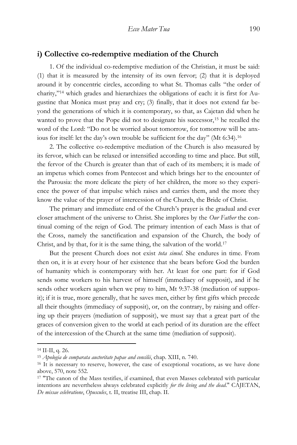# **i) Collective co-redemptive mediation of the Church**

1. Of the individual co-redemptive mediation of the Christian, it must be said: (1) that it is measured by the intensity of its own fervor; (2) that it is deployed around it by concentric circles, according to what St. Thomas calls "the order of charity," <sup>14</sup> which grades and hierarchizes the obligations of each: it is first for Augustine that Monica must pray and cry; (3) finally, that it does not extend far beyond the generations of which it is contemporary, so that, as Cajetan did when he wanted to prove that the Pope did not to designate his successor,<sup>15</sup> he recalled the word of the Lord: "Do not be worried about tomorrow, for tomorrow will be anxious for itself: let the day's own trouble be sufficient for the day" (Mt 6:34).<sup>16</sup>

2. The collective co-redemptive mediation of the Church is also measured by its fervor, which can be relaxed or intensified according to time and place. But still, the fervor of the Church is greater than that of each of its members; it is made of an impetus which comes from Pentecost and which brings her to the encounter of the Parousia: the more delicate the piety of her children, the more so they experience the power of that impulse which raises and carries them, and the more they know the value of the prayer of intercession of the Church, the Bride of Christ.

The primary and immediate end of the Church's prayer is the gradual and ever closer attachment of the universe to Christ. She implores by the *Our Father* the continual coming of the reign of God. The primary intention of each Mass is that of the Cross, namely the sanctification and expansion of the Church, the body of Christ, and by that, for it is the same thing, the salvation of the world.<sup>17</sup>

But the present Church does not exist *tota simul*. She endures in time. From then on, it is at every hour of her existence that she bears before God the burden of humanity which is contemporary with her. At least for one part: for if God sends some workers to his harvest of himself (immediacy of supposit), and if he sends other workers again when we pray to him, Mt 9:37-38 (mediation of supposit); if it is true, more generally, that he saves men, either by first gifts which precede all their thoughts (immediacy of supposit), or, on the contrary, by raising and offering up their prayers (mediation of supposit), we must say that a great part of the graces of conversion given to the world at each period of its duration are the effect of the intercession of the Church at the same time (mediation of supposit).

<sup>14</sup> II-II, q. 26.

<sup>15</sup> *Apologia de comparata auctoritate papae and concilii*, chap. XIII, n. 740.

<sup>&</sup>lt;sup>16</sup> It is necessary to reserve, however, the case of exceptional vocations, as we have done above, 570, note 552.

<sup>&</sup>lt;sup>17</sup> "The canon of the Mass testifies, if examined, that even Masses celebrated with particular intentions are nevertheless always celebrated explicitly *for the living and the dead*." CAJETAN, *De missae celebratione*, *Opuscules*, t. II, treatise III, chap. II.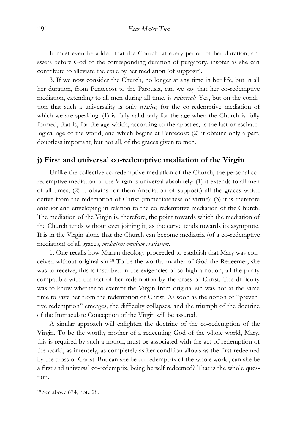It must even be added that the Church, at every period of her duration, answers before God of the corresponding duration of purgatory, insofar as she can contribute to alleviate the exile by her mediation (of supposit).

3. If we now consider the Church, no longer at any time in her life, but in all her duration, from Pentecost to the Parousia, can we say that her co-redemptive mediation, extending to all men during all time, is *universal*? Yes, but on the condition that such a universality is only *relative*; for the co-redemptive mediation of which we are speaking: (1) is fully valid only for the age when the Church is fully formed, that is, for the age which, according to the apostles, is the last or eschatological age of the world, and which begins at Pentecost; (2) it obtains only a part, doubtless important, but not all, of the graces given to men.

### **j) First and universal co-redemptive mediation of the Virgin**

Unlike the collective co-redemptive mediation of the Church, the personal coredemptive mediation of the Virgin is universal absolutely: (1) it extends to all men of all times; (2) it obtains for them (mediation of supposit) all the graces which derive from the redemption of Christ (immediateness of virtue); (3) it is therefore anterior and enveloping in relation to the co-redemptive mediation of the Church. The mediation of the Virgin is, therefore, the point towards which the mediation of the Church tends without ever joining it, as the curve tends towards its asymptote. It is in the Virgin alone that the Church can become mediatrix (of a co-redemptive mediation) of all graces, *mediatrix omnium gratiarum*.

1. One recalls how Marian theology proceeded to establish that Mary was conceived without original sin.<sup>18</sup> To be the worthy mother of God the Redeemer, she was to receive, this is inscribed in the exigencies of so high a notion, all the purity compatible with the fact of her redemption by the cross of Christ. The difficulty was to know whether to exempt the Virgin from original sin was not at the same time to save her from the redemption of Christ. As soon as the notion of "preventive redemption" emerges, the difficulty collapses, and the triumph of the doctrine of the Immaculate Conception of the Virgin will be assured.

A similar approach will enlighten the doctrine of the co-redemption of the Virgin. To be the worthy mother of a redeeming God of the whole world, Mary, this is required by such a notion, must be associated with the act of redemption of the world, as intensely, as completely as her condition allows as the first redeemed by the cross of Christ. But can she be co-redemptrix of the whole world, can she be a first and universal co-redemptix, being herself redeemed? That is the whole question.

<sup>18</sup> See above 674, note 28.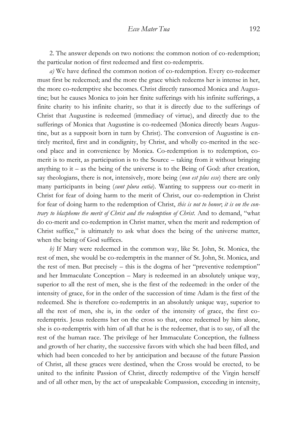2. The answer depends on two notions: the common notion of co-redemption; the particular notion of first redeemed and first co-redemptrix.

*a)* We have defined the common notion of co-redemption. Every co-redeemer must first be redeemed; and the more the grace which redeems her is intense in her, the more co-redemptive she becomes. Christ directly ransomed Monica and Augustine; but he causes Monica to join her finite sufferings with his infinite sufferings, a finite charity to his infinite charity, so that it is directly due to the sufferings of Christ that Augustine is redeemed (immediacy of virtue), and directly due to the sufferings of Monica that Augustine is co-redeemed (Monica directly bears Augustine, but as a supposit born in turn by Christ). The conversion of Augustine is entirely merited, first and in condignity, by Christ, and wholly co-merited in the second place and in convenience by Monica. Co-redemption is to redemption, comerit is to merit, as participation is to the Source – taking from it without bringing anything to it – as the being of the universe is to the Being of God: after creation, say theologians, there is not, intensively, more being (*non est plus esse*) there are only many participants in being (*sunt plura entia*). Wanting to suppress our co-merit in Christ for fear of doing harm to the merit of Christ, our co-redemption in Christ for fear of doing harm to the redemption of Christ, *this is not to honor*; *it is on the contrary to blaspheme the merit of Christ and the redemption of Christ*. And to demand, "what do co-merit and co-redemption in Christ matter, when the merit and redemption of Christ suffice," is ultimately to ask what does the being of the universe matter, when the being of God suffices.

*b)* If Mary were redeemed in the common way, like St. John, St. Monica, the rest of men, she would be co-redemptrix in the manner of St. John, St. Monica, and the rest of men. But precisely – this is the dogma of her "preventive redemption" and her Immaculate Conception – Mary is redeemed in an absolutely unique way, superior to all the rest of men, she is the first of the redeemed: in the order of the intensity of grace, for in the order of the succession of time Adam is the first of the redeemed. She is therefore co-redemptrix in an absolutely unique way, superior to all the rest of men, she is, in the order of the intensity of grace, the first coredemptrix. Jesus redeems her on the cross so that, once redeemed by him alone, she is co-redemptrix with him of all that he is the redeemer, that is to say, of all the rest of the human race. The privilege of her Immaculate Conception, the fullness and growth of her charity, the successive favors with which she had been filled, and which had been conceded to her by anticipation and because of the future Passion of Christ, all these graces were destined, when the Cross would be erected, to be united to the infinite Passion of Christ, directly redemptive of the Virgin herself and of all other men, by the act of unspeakable Compassion, exceeding in intensity,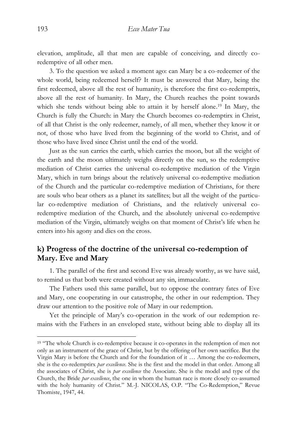elevation, amplitude, all that men are capable of conceiving, and directly coredemptive of all other men.

3. To the question we asked a moment ago: can Mary be a co-redeemer of the whole world, being redeemed herself? It must be answered that Mary, being the first redeemed, above all the rest of humanity, is therefore the first co-redemptrix, above all the rest of humanity. In Mary, the Church reaches the point towards which she tends without being able to attain it by herself alone. <sup>19</sup> In Mary, the Church is fully the Church: in Mary the Church becomes co-redemptirx in Christ, of all that Christ is the only redeemer, namely, of all men, whether they know it or not, of those who have lived from the beginning of the world to Christ, and of those who have lived since Christ until the end of the world.

Just as the sun carries the earth, which carries the moon, but all the weight of the earth and the moon ultimately weighs directly on the sun, so the redemptive mediation of Christ carries the universal co-redemptive mediation of the Virgin Mary, which in turn brings about the relatively universal co-redemptive mediation of the Church and the particular co-redemptive mediation of Christians, for there are souls who bear others as a planet its satellites; but all the weight of the particular co-redemptive mediation of Christians, and the relatively universal coredemptive mediation of the Church, and the absolutely universal co-redemptive mediation of the Virgin, ultimately weighs on that moment of Christ's life when he enters into his agony and dies on the cross.

# **k) Progress of the doctrine of the universal co-redemption of Mary. Eve and Mary**

1. The parallel of the first and second Eve was already worthy, as we have said, to remind us that both were created without any sin, immaculate.

The Fathers used this same parallel, but to oppose the contrary fates of Eve and Mary, one cooperating in our catastrophe, the other in our redemption. They draw our attention to the positive role of Mary in our redemption.

Yet the principle of Mary's co-operation in the work of our redemption remains with the Fathers in an enveloped state, without being able to display all its

<sup>&</sup>lt;sup>19</sup> "The whole Church is co-redemptive because it co-operates in the redemption of men not only as an instrument of the grace of Christ, but by the offering of her own sacrifice. But the Virgin Mary is before the Church and for the foundation of it … Among the co-redeemers, she is the co-redemptirx *par excellence*. She is the first and the model in that order. Among all the associates of Christ, she is *par excellence* the Associate. She is the model and type of the Church, the Bride *par excellence*, the one in whom the human race is more closely co-assumed with the holy humanity of Christ." M.-J. NICOLAS, O.P. "The Co-Redemption," Revue Thomiste, 1947, 44.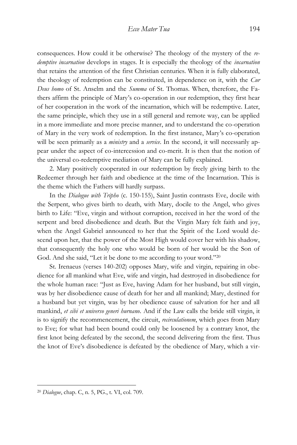consequences. How could it be otherwise? The theology of the mystery of the *redemptive incarnation* develops in stages. It is especially the theology of the *incarnation* that retains the attention of the first Christian centuries. When it is fully elaborated, the theology of redemption can be constituted, in dependence on it, with the *Cur Deus homo* of St. Anselm and the *Summa* of St. Thomas. When, therefore, the Fathers affirm the principle of Mary's co-operation in our redemption, they first hear of her cooperation in the work of the incarnation, which will be redemptive. Later, the same principle, which they use in a still general and remote way, can be applied in a more immediate and more precise manner, and to understand the co-operation of Mary in the very work of redemption. In the first instance, Mary's co-operation will be seen primarily as a *ministry* and a *service*. In the second, it will necessarily appear under the aspect of co-intercession and co-merit. It is then that the notion of the universal co-redemptive mediation of Mary can be fully explained.

2. Mary positively cooperated in our redemption by freely giving birth to the Redeemer through her faith and obedience at the time of the Incarnation. This is the theme which the Fathers will hardly surpass.

In the *Dialogue with Tripho* (c. 150-155), Saint Justin contrasts Eve, docile with the Serpent, who gives birth to death, with Mary, docile to the Angel, who gives birth to Life: "Eve, virgin and without corruption, received in her the word of the serpent and bred disobedience and death. But the Virgin Mary felt faith and joy, when the Angel Gabriel announced to her that the Spirit of the Lord would descend upon her, that the power of the Most High would cover her with his shadow, that consequently the holy one who would be born of her would be the Son of God. And she said, "Let it be done to me according to your word."<sup>20</sup>

St. Irenaeus (verses 140-202) opposes Mary, wife and virgin, repairing in obedience for all mankind what Eve, wife and virgin, had destroyed in disobedience for the whole human race: "Just as Eve, having Adam for her husband, but still virgin, was by her disobedience cause of death for her and all mankind; Mary, destined for a husband but yet virgin, was by her obedience cause of salvation for her and all mankind, *et sibi et universo generi hurnano*. And if the Law calls the bride still virgin, it is to signify the recommencement, the circuit, *recirculationem*, which goes from Mary to Eve; for what had been bound could only be loosened by a contrary knot, the first knot being defeated by the second, the second delivering from the first. Thus the knot of Eve's disobedience is defeated by the obedience of Mary, which a vir-

<sup>20</sup> *Dialogue*, chap. C, n. 5, PG., t. VI, col. 709.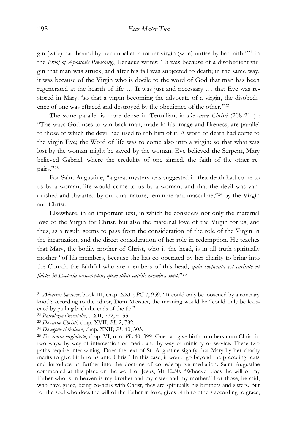gin (wife) had bound by her unbelief, another virgin (wife) unties by her faith." <sup>21</sup> In the *Proof of Apostolic Preaching*, Irenaeus writes: "It was because of a disobedient virgin that man was struck, and after his fall was subjected to death; in the same way, it was because of the Virgin who is docile to the word of God that man has been regenerated at the hearth of life … It was just and necessary … that Eve was restored in Mary, 'so that a virgin becoming the advocate of a virgin, the disobedience of one was effaced and destroyed by the obedience of the other."<sup>22</sup>

The same parallel is more dense in Tertullian, in *De carne Christi* (208-211) : "The ways God uses to win back man, made in his image and likeness, are parallel to those of which the devil had used to rob him of it. A word of death had come to the virgin Eve; the Word of life was to come also into a virgin: so that what was lost by the woman might be saved by the woman. Eve believed the Serpent, Mary believed Gabriel; where the credulity of one sinned, the faith of the other repairs." 23

For Saint Augustine, "a great mystery was suggested in that death had come to us by a woman, life would come to us by a woman; and that the devil was vanquished and thwarted by our dual nature, feminine and masculine," <sup>24</sup> by the Virgin and Christ.

Elsewhere, in an important text, in which he considers not only the maternal love of the Virgin for Christ, but also the maternal love of the Virgin for us, and thus, as a result, seems to pass from the consideration of the role of the Virgin in the incarnation, and the direct consideration of her role in redemption. He teaches that Mary, the bodily mother of Christ, who is the head, is in all truth spiritually mother "of his members, because she has co-operated by her charity to bring into the Church the faithful who are members of this head, *quia cooperata est caritate ut fideles in Ecclesia nascerentur, quae illius capitis membra sunt*." 25

<sup>21</sup> *Adversus haereses*, book III, chap. XXII; *PG* 7, 959. "It could only be loosened by a contrary knot": according to the editor, Dom Massuet, the meaning would be "could only be loosened by pulling back the ends of the tie."

<sup>22</sup> *Patrologia Orientalis*, t. XII, 772, n. 33.

<sup>23</sup> *De carne Christi*, chap. XVII, *PL* 2, 782.

<sup>24</sup> *De agone christiano*, chap. XXII; *PL* 40, 303.

<sup>25</sup> *De sancta virginitate*, chap. VI, n. 6; *PL* 40, 399. One can give birth to others unto Christ in two ways: by way of intercession or merit, and by way of ministry or service. These two paths require intertwining. Does the text of St. Augustine signify that Mary by her charity merits to give birth to us unto Christ? In this case, it would go beyond the preceding texts and introduce us further into the doctrine of co-redemptive mediation. Saint Augustine commented at this place on the word of Jesus, Mt 12:50: "Whoever does the will of my Father who is in heaven is my brother and my sister and my mother." For those, he said, who have grace, being co-heirs with Christ, they are spiritually his brothers and sisters. But for the soul who does the will of the Father in love, gives birth to others according to grace,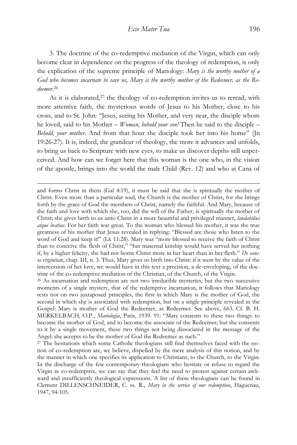3. The doctrine of the co-redemptive mediation of the Virgin, which can only become clear in dependence on the progress of the theology of redemption, is only the explication of the supreme principle of Mariology: *Mary is the worthy mother of a God who becomes incarnate to save us, Mary is the worthy mother of the Redeemer, as the Redeemer*. 26

As it is elaborated, $27$  the theology of co-redemption invites us to reread, with more attentive faith, the mysterious words of Jesus to his Mother, close to his cross, and to St. John: "Jesus, seeing his Mother, and very near, the disciple whom he loved, said to his Mother – *Woman, behold your son!* Then he said to the disciple – *Behold, your mother*. And from that hour the disciple took her into his home" (Jn 19:26-27). It is, indeed, the grandeur of theology, the more it advances and unfolds, to bring us back to Scripture with new eyes, to make us discover depths still unperceived. And how can we forget here that this woman is the one who, in the vision of the apostle, brings into the world the male Child (Rev. 12) and who at Cana of

 $\overline{a}$ 

and forms Christ in them (Gal 4:19), it must be said that she is spiritually the mother of Christ. Even more than a particular soul, the Church is the mother of Christ, for she brings forth by the grace of God the members of Christ, namely the faithful. And Mary, because of the faith and love with which she, too, did the will of the Father, is spiritually the mother of Christ; she gives birth to us unto Christ in a more beautiful and privileged manner, *laudabilius atque beatius*. For her faith was great. To the woman who blessed his mother, it was the true greatness of his mother that Jesus revealed in replying: "Blessed are those who listen to the word of God and keep it!" (Lk 11:28). Mary was "more blessed to receive the faith of Christ than to conceive the flesh of Christ," "her maternal kinship would have served her nothing if, by a higher felicity, she had not borne Christ more in her heart than in her flesh." *De sancta virginitate*, chap. III, n. 3. Thus, Mary gives us birth into Christ: if it were by the value of the intercession of her love, we would have in this text a precision, a de-enveloping, of the doctrine of the co-redemptive mediation of the Christian, of the Church, of the Virgin.

<sup>26</sup> As incarnation and redemption are not two irreducible mysteries, but the two successive moments of a single mystery, that of the redemptive incarnation, it follows that Mariology rests not on two juxtaposed principles, the first in which Mary is the mother of God, the second in which she is associated with redemption, but on a single principle revealed in the Gospel: Mary is mother of God the Redeemer, as Redeemer. See above, 663. Cf. B. H. MERKELBACH, O.P., *Mariologia*, Paris, 1939. 91: "Mary consents to these two things: to become the mother of God, and to become the associate of the Redeemer; but she consents to it by a single movement, these two things not being dissociated in the message of the Angel: she accepts to be the mother of God the Redeemer as such."

<sup>27</sup> The hesitations which some Catholic theologians still find themselves faced with the notion of co-redemption are, we believe, dispelled by the mere analysis of this notion, and by the manner in which one specifies its application to Christians, to the Church, to the Virgin. In the discharge of the few contemporary theologians who hesitate or refuse to regard the Virgin as co-redemptrix, we can say that they feel the need to protest against certain awkward and insufficiently theological expressions. A list of these theologians can be found in Clement DILLENSCHNEIDER, C. ss. R., *Mary in the service of our redemption*, Haguenau, 1947, 94-105.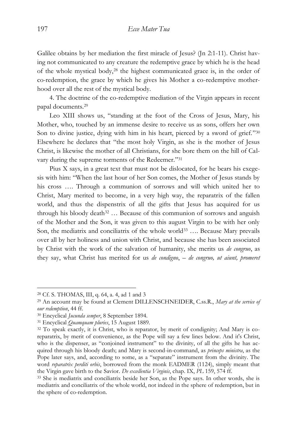Galilee obtains by her mediation the first miracle of Jesus? (Jn 2:1-11). Christ having not communicated to any creature the redemptive grace by which he is the head of the whole mystical body,<sup>28</sup> the highest communicated grace is, in the order of co-redemption, the grace by which he gives his Mother a co-redemptive motherhood over all the rest of the mystical body.

4. The doctrine of the co-redemptive mediation of the Virgin appears in recent papal documents.<sup>29</sup>

Leo XIII shows us, "standing at the foot of the Cross of Jesus, Mary, his Mother, who, touched by an immense desire to receive us as sons, offers her own Son to divine justice, dying with him in his heart, pierced by a sword of grief."30 Elsewhere he declares that "the most holy Virgin, as she is the mother of Jesus Christ, is likewise the mother of all Christians, for she bore them on the hill of Calvary during the supreme torments of the Redeemer."31

Pius X says, in a great text that must not be dislocated, for he bears his exegesis with him: "When the last hour of her Son comes, the Mother of Jesus stands by his cross …. Through a communion of sorrows and will which united her to Christ, Mary merited to become, in a very high way, the reparatrix of the fallen world, and thus the dispenstrix of all the gifts that Jesus has acquired for us through his bloody death $32$  ... Because of this communion of sorrows and anguish of the Mother and the Son, it was given to this august Virgin to be with her only Son, the mediatrix and conciliatrix of the whole world<sup>33</sup> .... Because Mary prevails over all by her holiness and union with Christ, and because she has been associated by Christ with the work of the salvation of humanity, she merits us *de congruo*, as they say, what Christ has merited for us *de condigno*, – *de congruo, ut aiunt, promeret* 

<sup>28</sup> Cf. S. THOMAS, III, q. 64, a. 4, ad 1 and 3

<sup>29</sup> An account may be found at Clement DILLENSCHNEIDER, C.ss.R., *Mary at the service of our redemption*, 44 ff.

<sup>30</sup> Encyclical *Jucunda semper*, 8 September 1894.

<sup>31</sup> Encyclical *Quamquam pluries*, 15 August 1889.

<sup>32</sup> To speak exactly, it is Christ, who is reparator, by merit of condignity; And Mary is coreparatrix, by merit of convenience, as the Pope will say a few lines below. And it's Christ, who is the dispenser, as "conjoined instrument" to the divinity, of all the gifts he has acquired through his bloody death; and Mary is second-in-command, as *princeps ministra*, as the Pope later says, and, according to some, as a "separate" instrument from the divinity. The word *reparatrix perditi orbis*, borrowed from the monk EADMER (1124), simply meant that the Virgin gave birth to the Savior. *De excellentia Virginis*, chap. IX, *PL* 159, 574 ff.

<sup>33</sup> She is mediatrix and conciliatrix beside her Son, as the Pope says. In other words, she is mediatrix and conciliatrix of the whole world, not indeed in the sphere of redemption, but in the sphere of co-redemption.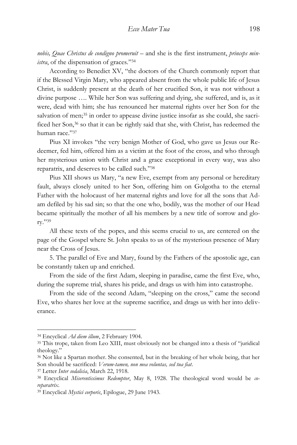*nobis, Quae Christus de condigno promeruit* – and she is the first instrument, *princeps ministra*, of the dispensation of graces." 34

According to Benedict XV, "the doctors of the Church commonly report that if the Blessed Virgin Mary, who appeared absent from the whole public life of Jesus Christ, is suddenly present at the death of her crucified Son, it was not without a divine purpose …. While her Son was suffering and dying, she suffered, and is, as it were, dead with him; she has renounced her maternal rights over her Son for the salvation of men;<sup>35</sup> in order to appease divine justice insofar as she could, she sacrificed her Son,<sup>36</sup> so that it can be rightly said that she, with Christ, has redeemed the human race." 37

Pius XI invokes "the very benign Mother of God, who gave us Jesus our Redeemer, fed him, offered him as a victim at the foot of the cross, and who through her mysterious union with Christ and a grace exceptional in every way, was also reparatrix, and deserves to be called such." 38

Pius XII shows us Mary, "a new Eve, exempt from any personal or hereditary fault, always closely united to her Son, offering him on Golgotha to the eternal Father with the holocaust of her maternal rights and love for all the sons that Adam defiled by his sad sin; so that the one who, bodily, was the mother of our Head became spiritually the mother of all his members by a new title of sorrow and glory." 39

All these texts of the popes, and this seems crucial to us, are centered on the page of the Gospel where St. John speaks to us of the mysterious presence of Mary near the Cross of Jesus.

5. The parallel of Eve and Mary, found by the Fathers of the apostolic age, can be constantly taken up and enriched.

From the side of the first Adam, sleeping in paradise, came the first Eve, who, during the supreme trial, shares his pride, and drags us with him into catastrophe.

From the side of the second Adam, "sleeping on the cross," came the second Eve, who shares her love at the supreme sacrifice, and drags us with her into deliverance.

<sup>34</sup> Encyclical *Ad diem illum*, 2 February 1904.

<sup>35</sup> This trope, taken from Leo XIII, must obviously not be changed into a thesis of "juridical theology."

<sup>36</sup> Not like a Spartan mother. She consented, but in the breaking of her whole being, that her Son should be sacrificed: *Verum-tamen, non mea voluntas, sed tua fiat*.

<sup>37</sup> Letter *Inter sodalicia*, March 22, 1918.

<sup>38</sup> Encyclical *Miserentissimus Redemptor*, May 8, 1928. The theological word would be *coreparatrix*.

<sup>39</sup> Encyclical *Mystici corporis*, Epilogue, 29 June 1943.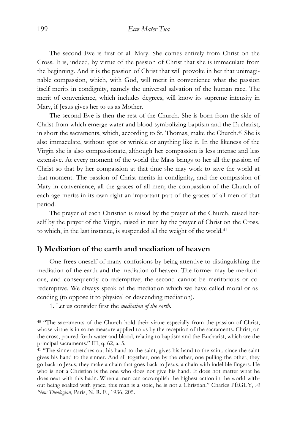The second Eve is first of all Mary. She comes entirely from Christ on the Cross. It is, indeed, by virtue of the passion of Christ that she is immaculate from the beginning. And it is the passion of Christ that will provoke in her that unimaginable compassion, which, with God, will merit in convenience what the passion itself merits in condignity, namely the universal salvation of the human race. The merit of convenience, which includes degrees, will know its supreme intensity in Mary, if Jesus gives her to us as Mother.

The second Eve is then the rest of the Church. She is born from the side of Christ from which emerge water and blood symbolizing baptism and the Eucharist, in short the sacraments, which, according to St. Thomas, make the Church.<sup>40</sup> She is also immaculate, without spot or wrinkle or anything like it. In the likeness of the Virgin she is also compassionate, although her compassion is less intense and less extensive. At every moment of the world the Mass brings to her all the passion of Christ so that by her compassion at that time she may work to save the world at that moment. The passion of Christ merits in condignity, and the compassion of Mary in convenience, all the graces of all men; the compassion of the Church of each age merits in its own right an important part of the graces of all men of that period.

The prayer of each Christian is raised by the prayer of the Church, raised herself by the prayer of the Virgin, raised in turn by the prayer of Christ on the Cross, to which, in the last instance, is suspended all the weight of the world.<sup>41</sup>

### **l) Mediation of the earth and mediation of heaven**

One frees oneself of many confusions by being attentive to distinguishing the mediation of the earth and the mediation of heaven. The former may be meritorious, and consequently co-redemptive; the second cannot be meritorious or coredemptive. We always speak of the mediation which we have called moral or ascending (to oppose it to physical or descending mediation).

1. Let us consider first the *mediation of the earth.*

<sup>&</sup>lt;sup>40</sup> "The sacraments of the Church hold their virtue especially from the passion of Christ, whose virtue is in some measure applied to us by the reception of the sacraments. Christ, on the cross, poured forth water and blood, relating to baptism and the Eucharist, which are the principal sacraments." III, q. 62, a. 5.

<sup>&</sup>lt;sup>41</sup> "The sinner stretches out his hand to the saint, gives his hand to the saint, since the saint gives his hand to the sinner. And all together, one by the other, one pulling the other, they go back to Jesus, they make a chain that goes back to Jesus, a chain with indelible fingers. He who is not a Christian is the one who does not give his hand. It does not matter what he does next with this hadn. When a man can accomplish the highest action in the world without being soaked with grace, this man is a stoic, he is not a Christian." Charles PÉGUY, *A New Theologian*, Paris, N. R. F., 1936, 205.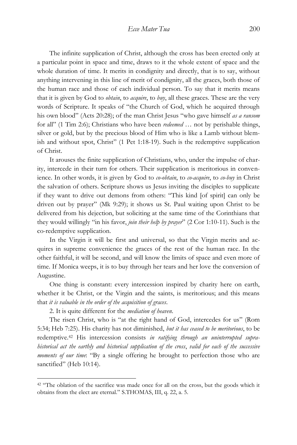The infinite supplication of Christ, although the cross has been erected only at a particular point in space and time, draws to it the whole extent of space and the whole duration of time. It merits in condignity and directly, that is to say, without anything intervening in this line of merit of condignity, all the graces, both those of the human race and those of each individual person. To say that it merits means that it is given by God to *obtain*, to *acquire*, to *buy*, all these graces. These are the very words of Scripture. It speaks of "the Church of God, which he acquired through his own blood" (Acts 20:28); of the man Christ Jesus "who gave himself *as a ransom* for all" (1 Tim 2:6); Christians who have been *redeemed* … not by perishable things, silver or gold, but by the precious blood of Him who is like a Lamb without blemish and without spot, Christ" (1 Pet 1:18-19). Such is the redemptive supplication of Christ.

It arouses the finite supplication of Christians, who, under the impulse of charity, intercede in their turn for others. Their supplication is meritorious in convenience. In other words, it is given by God to *co-obtain*, to *co-acquire*, to *co-buy* in Christ the salvation of others. Scripture shows us Jesus inviting the disciples to supplicate if they want to drive out demons from others: "This kind [of spirit] can only be driven out by prayer" (Mk 9:29); it shows us St. Paul waiting upon Christ to be delivered from his dejection, but soliciting at the same time of the Corinthians that they would willingly "in his favor, *join their help by prayer*" (2 Cor 1:10-11). Such is the co-redemptive supplication.

In the Virgin it will be first and universal, so that the Virgin merits and acquires in supreme convenience the graces of the rest of the human race. In the other faithful, it will be second, and will know the limits of space and even more of time. If Monica weeps, it is to buy through her tears and her love the conversion of Augustine.

One thing is constant: every intercession inspired by charity here on earth, whether it be Christ, or the Virgin and the saints, is meritorious; and this means that *it is valuable in the order of the acquisition of graces*.

2. It is quite different for the *mediation of heaven*.

 $\overline{a}$ 

The risen Christ, who is "at the right hand of God, intercedes for us" (Rom 5:34; Heb 7:25). His charity has not diminished, *but it has ceased to be meritorious*, to be redemptive.<sup>42</sup> His intercession consists *in ratifying through an uninterrupted suprahistorical act the earthly and historical supplication of the cross*, *valid for each of the successive moments of our time*: "By a single offering he brought to perfection those who are sanctified" (Heb 10:14).

<sup>&</sup>lt;sup>42</sup> "The oblation of the sacrifice was made once for all on the cross, but the goods which it obtains from the elect are eternal." S.THOMAS, III, q. 22, a. 5.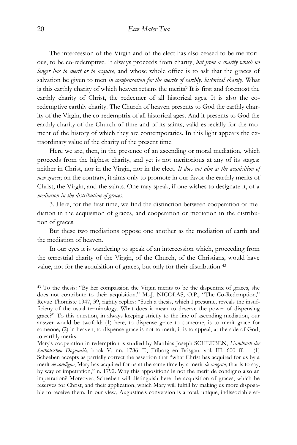The intercession of the Virgin and of the elect has also ceased to be meritorious, to be co-redemptive. It always proceeds from charity, *but from a charity which no longer has to merit or to acquire*, and whose whole office is to ask that the graces of salvation be given to men *in compensation for the merits of earthly, historical charity*. What is this earthly charity of which heaven retains the merits? It is first and foremost the earthly charity of Christ, the redeemer of all historical ages. It is also the coredemptive earthly charity. The Church of heaven presents to God the earthly charity of the Virgin, the co-redemptrix of all historical ages. And it presents to God the earthly charity of the Church of time and of its saints, valid especially for the moment of the history of which they are contemporaries. In this light appears the extraordinary value of the charity of the present time.

Here we are, then, in the presence of an ascending or moral mediation, which proceeds from the highest charity, and yet is not meritorious at any of its stages: neither in Christ, nor in the Virgin, nor in the elect. *It does not aim at the acquisition of new graces*; on the contrary, it aims only to promote in our favor the earthly merits of Christ, the Virgin, and the saints. One may speak, if one wishes to designate it, of a *mediation in the distribution of graces*.

3. Here, for the first time, we find the distinction between cooperation or mediation in the acquisition of graces, and cooperation or mediation in the distribution of graces.

But these two mediations oppose one another as the mediation of earth and the mediation of heaven.

In our eyes it is wandering to speak of an intercession which, proceeding from the terrestrial charity of the Virgin, of the Church, of the Christians, would have value, not for the acquisition of graces, but only for their distribution.<sup>43</sup>

<sup>43</sup> To the thesis: "By her compassion the Virgin merits to be the dispentrix of graces, she does not contribute to their acquisition." M.-J. NICOLAS, O.P., "The Co-Redemption," Revue Thomiste 1947, 39, rightly replies: "Such a thesis, which I presume, reveals the insufficieny of the usual terminology. What does it mean to deserve the power of dispensing grace?" To this question, in always keeping strictly to the line of ascending mediation, our answer would be twofold: (1) here, to dispense grace to someone, is to merit grace for someone; (2) in heaven, to dispense grace is not to merit, it is to appeal, at the side of God, to earthly merits.

Mary's cooperation in redemption is studied by Matthias Joseph SCHEEBEN, *Handbuch der katholischen Dogmatik*, book V, nn. 1786 ff., Friborg en Brisgau, vol. III, 600 ff. – (1) Scheeben accepts as partially correct the assertion that "what Christ has acquired for us by a merit *de condigno*, Mary has acquired for us at the same time by a merit *de congruo*, that is to say, by way of impetration," n. 1792. Why this apposition? Is not the merit de condigno also an impetration? Moreover, Scheeben will distinguish here the acquisition of graces, which he reserves for Christ, and their application, which Mary will fulfill by making us more disposable to receive them. In our view, Augustine's conversion is a total, unique, indissociable ef-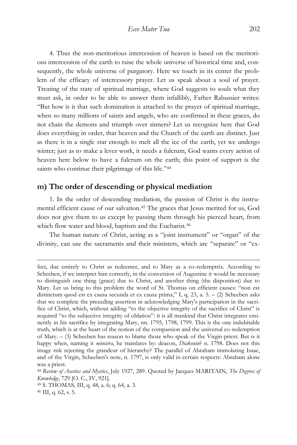4. Thus the non-meritorious intercession of heaven is based on the meritorious intercession of the earth to raise the whole universe of historical time and, consequently, the whole universe of purgatory. Here we touch in its center the problem of the efficacy of intercessory prayer. Let us speak about a soul of prayer. Treating of the state of spiritual marriage, where God suggests to souls what they must ask, in order to be able to answer them infallibly, Father Rabussier writes: "But how is it that such domination is attached to the prayer of spiritual marriage, when so many millions of saints and angels, who are confirmed in these graces, do not chain the demons and triumph over sinners? Let us recognize here that God does everything in order, that heaven and the Church of the earth are distinct. Just as there is in a single star enough to melt all the ice of the earth, yet we undergo winter; just as to make a lever work, it needs a fulcrum, God wants every action of heaven here below to have a fulcrum on the earth; this point of support is the saints who continue their pilgrimage of this life."<sup>44</sup>

# **m) The order of descending or physical mediation**

1. In the order of descending mediation, the passion of Christ is the instrumental efficient cause of our salvation.<sup>45</sup> The graces that Jesus merited for us, God does not give them to us except by passing them through his pierced heart, from which flow water and blood, baptism and the Eucharist.<sup>46</sup>

The human nature of Christ, acting as a "joint instrument" or "organ" of the divinity, can use the sacraments and their ministers, which are "separate" or "ex-

fect, due entirely to Christ as redeemer, and to Mary as a co-redemptrix. According to Scheeben, if we interpret him correctly, in the conversion of Augustine it would be necessary to distinguish one thing (grace) due to Christ, and another thing (the disposition) due to Mary. Let us bring to this problem the word of St. Thomas on efficient causes: "non est distinctum quod est ex causa secunda et ex causa prima," I, q. 23, a. 5. – (2) Scheeben asks that we complete the preceding assertion in acknowledging Mary's participation in the sacrifice of Christ, which, without adding "to the objective integrity of the sacrifice of Christ" is required "to the subjective integrity of oblation": it is all mankind that Christ integrates eminently in his sacrifice by integrating Mary, nn. 1795, 1798, 1799. This is the one indubitable truth, which is at the heart of the notion of the compassion and the universal co-redemption of Mary. – (3) Scheeben has reason to blame those who speak of the Virgin-priest. But is it happy when, naming it *ministra*, he translates by: deacon, *Diakonin*? n. 1798. Does not this image risk rejecting the grandeur of hierarchy? The parallel of Abraham immolating Isaac, and of the Virgin, Scheeben's note, n. 1797, is only valid in certain respects: Abraham alone was a priest.

<sup>44</sup> *Review of Ascetics and Mystics*, July 1927, 289. Quoted by Jacques MARITAIN, *The Degrees of Knowledge*, 729 [O. C., IV, 921].

<sup>45</sup> S. THOMAS, III, q. 48, a. 6; q. 64, a. 3.

<sup>46</sup> III, q. 62, s. 5.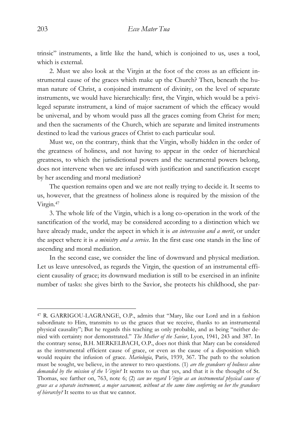trinsic" instruments, a little like the hand, which is conjoined to us, uses a tool, which is external.

2. Must we also look at the Virgin at the foot of the cross as an efficient instrumental cause of the graces which make up the Church? Then, beneath the human nature of Christ, a conjoined instrument of divinity, on the level of separate instruments, we would have hierarchically: first, the Virgin, which would be a privileged separate instrument, a kind of major sacrament of which the efficacy would be universal, and by whom would pass all the graces coming from Christ for men; and then the sacraments of the Church, which are separate and limited instruments destined to lead the various graces of Christ to each particular soul.

Must we, on the contrary, think that the Virgin, wholly hidden in the order of the greatness of holiness, and not having to appear in the order of hierarchical greatness, to which the jurisdictional powers and the sacramental powers belong, does not intervene when we are infused with justification and sanctification except by her ascending and moral mediation?

The question remains open and we are not really trying to decide it. It seems to us, however, that the greatness of holiness alone is required by the mission of the Virgin.<sup>47</sup>

3. The whole life of the Virgin, which is a long co-operation in the work of the sanctification of the world, may be considered according to a distinction which we have already made, under the aspect in which it is *an intercession and a merit*, or under the aspect where it is *a ministry and a service*. In the first case one stands in the line of ascending and moral mediation.

In the second case, we consider the line of downward and physical mediation. Let us leave unresolved, as regards the Virgin, the question of an instrumental efficient causality of grace; its downward mediation is still to be exercised in an infinite number of tasks: she gives birth to the Savior, she protects his childhood, she par-

<sup>47</sup> R. GARRIGOU-LAGRANGE, O.P., admits that "Mary, like our Lord and in a fashion subordinate to Him, transmits to us the graces that we receive, thanks to an instrumental physical causality"; But he regards this teaching as only probable, and as being "neither denied with certainty nor demonstrated." *The Mother of the Savior*, Lyon, 1941, 243 and 387. In the contrary sense, B.H. MERKELBACH, O.P., does not think that Mary can be considered as the instrumental efficient cause of grace, or even as the cause of a disposition which would require the infusion of grace. *Mariologia*, Paris, 1939, 367. The path to the solution must be sought, we believe, in the answer to two questions. (1) *are the grandeurs of holiness alone demanded by the mission of the Virgin?* It seems to us that yes, and that it is the thought of St. Thomas, see farther on, 763, note 6; (2) *can we regard Virgin as an instrumental physical cause of grace as a separate instrument, a major sacrament, without at the same time conferring on her the grandeurs of hierarchy?* It seems to us that we cannot.